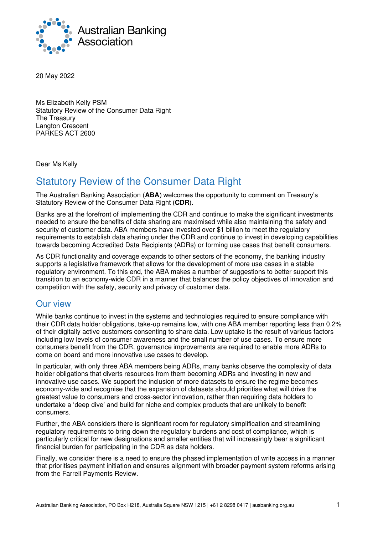

20 May 2022

Ms Elizabeth Kelly PSM Statutory Review of the Consumer Data Right The Treasury Langton Crescent PARKES [ACT 2600](mailto:CDRstatutoryreview@treasury.gov.au) 

Dear Ms Kelly

# Statutory Review of the Consumer Data Right

The Australian Banking Association (**ABA**) welcomes the opportunity to comment on Treasury's Statutory Review of the Consumer Data Right (**CDR**).

Banks are at the forefront of implementing the CDR and continue to make the significant investments needed to ensure the benefits of data sharing are maximised while also maintaining the safety and security of customer data. ABA members have invested over \$1 billion to meet the regulatory requirements to establish data sharing under the CDR and continue to invest in developing capabilities towards becoming Accredited Data Recipients (ADRs) or forming use cases that benefit consumers.

As CDR functionality and coverage expands to other sectors of the economy, the banking industry supports a legislative framework that allows for the development of more use cases in a stable regulatory environment. To this end, the ABA makes a number of suggestions to better support this transition to an economy-wide CDR in a manner that balances the policy objectives of innovation and competition with the safety, security and privacy of customer data.

## Our view

While banks continue to invest in the systems and technologies required to ensure compliance with their CDR data holder obligations, take-up remains low, with one ABA member reporting less than 0.2% of their digitally active customers consenting to share data. Low uptake is the result of various factors including low levels of consumer awareness and the small number of use cases. To ensure more consumers benefit from the CDR, governance improvements are required to enable more ADRs to come on board and more innovative use cases to develop.

In particular, with only three ABA members being ADRs, many banks observe the complexity of data holder obligations that diverts resources from them becoming ADRs and investing in new and innovative use cases. We support the inclusion of more datasets to ensure the regime becomes economy-wide and recognise that the expansion of datasets should prioritise what will drive the greatest value to consumers and cross-sector innovation, rather than requiring data holders to undertake a 'deep dive' and build for niche and complex products that are unlikely to benefit consumers.

Further, the ABA considers there is significant room for regulatory simplification and streamlining regulatory requirements to bring down the regulatory burdens and cost of compliance, which is particularly critical for new designations and smaller entities that will increasingly bear a significant financial burden for participating in the CDR as data holders.

Finally, we consider there is a need to ensure the phased implementation of write access in a manner that prioritises payment initiation and ensures alignment with broader payment system reforms arising from the Farrell Payments Review.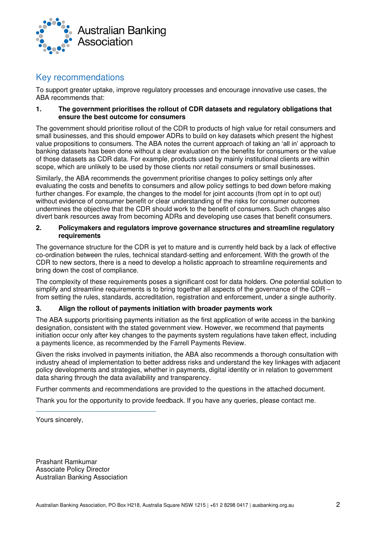

## Key recommendations

To support greater uptake, improve regulatory processes and encourage innovative use cases, the ABA recommends that:

## **1. The government prioritises the rollout of CDR datasets and regulatory obligations that ensure the best outcome for consumers**

The government should prioritise rollout of the CDR to products of high value for retail consumers and small businesses, and this should empower ADRs to build on key datasets which present the highest value propositions to consumers. The ABA notes the current approach of taking an 'all in' approach to banking datasets has been done without a clear evaluation on the benefits for consumers or the value of those datasets as CDR data. For example, products used by mainly institutional clients are within scope, which are unlikely to be used by those clients nor retail consumers or small businesses.

Similarly, the ABA recommends the government prioritise changes to policy settings only after evaluating the costs and benefits to consumers and allow policy settings to bed down before making further changes. For example, the changes to the model for joint accounts (from opt in to opt out) without evidence of consumer benefit or clear understanding of the risks for consumer outcomes undermines the objective that the CDR should work to the benefit of consumers. Such changes also divert bank resources away from becoming ADRs and developing use cases that benefit consumers.

## **2. Policymakers and regulators improve governance structures and streamline regulatory requirements**

The governance structure for the CDR is yet to mature and is currently held back by a lack of effective co-ordination between the rules, technical standard-setting and enforcement. With the growth of the CDR to new sectors, there is a need to develop a holistic approach to streamline requirements and bring down the cost of compliance.

The complexity of these requirements poses a significant cost for data holders. One potential solution to simplify and streamline requirements is to bring together all aspects of the governance of the CDR – from setting the rules, standards, accreditation, registration and enforcement, under a single authority.

## **3. Align the rollout of payments initiation with broader payments work**

The ABA supports prioritising payments initiation as the first application of write access in the banking designation, consistent with the stated government view. However, we recommend that payments initiation occur only after key changes to the payments system regulations have taken effect, including a payments licence, as recommended by the Farrell Payments Review.

Given the risks involved in payments initiation, the ABA also recommends a thorough consultation with industry ahead of implementation to better address risks and understand the key linkages with adjacent policy developments and strategies, whether in payments, digital identity or in relation to government data sharing through the data availability and transparency.

Further comments and recommendations are provided to the questions in the attached document.

[Thank you for the opportunity to provide f](mailto:Prashant.ramkumar@ausbanking.org.au)eedback. If you have any queries, please contact me.

Yours sincerely,

Prashant Ramkumar Associate Policy Director Australian Banking Association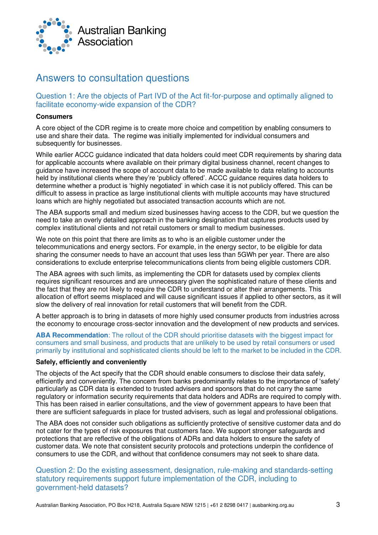

# Answers to consultation questions

Question 1: Are the objects of Part IVD of the Act fit-for-purpose and optimally aligned to facilitate economy-wide expansion of the CDR?

#### **Consumers**

A core object of the CDR regime is to create more choice and competition by enabling consumers to use and share their data. The regime was initially implemented for individual consumers and subsequently for businesses.

While earlier ACCC guidance indicated that data holders could meet CDR requirements by sharing data for applicable accounts where available on their primary digital business channel, recent changes to guidance have increased the scope of account data to be made available to data relating to accounts held by institutional clients where they're 'publicly offered'. ACCC guidance requires data holders to determine whether a product is 'highly negotiated' in which case it is not publicly offered. This can be difficult to assess in practice as large institutional clients with multiple accounts may have structured loans which are highly negotiated but associated transaction accounts which are not.

The ABA supports small and medium sized businesses having access to the CDR, but we question the need to take an overly detailed approach in the banking designation that captures products used by complex institutional clients and not retail customers or small to medium businesses.

We note on this point that there are limits as to who is an eligible customer under the telecommunications and energy sectors. For example, in the energy sector, to be eligible for data sharing the consumer needs to have an account that uses less than 5GWh per year. There are also considerations to exclude enterprise telecommunications clients from being eligible customers CDR.

The ABA agrees with such limits, as implementing the CDR for datasets used by complex clients requires significant resources and are unnecessary given the sophisticated nature of these clients and the fact that they are not likely to require the CDR to understand or alter their arrangements. This allocation of effort seems misplaced and will cause significant issues if applied to other sectors, as it will slow the delivery of real innovation for retail customers that will benefit from the CDR.

A better approach is to bring in datasets of more highly used consumer products from industries across the economy to encourage cross-sector innovation and the development of new products and services.

**ABA Recommendation**: The rollout of the CDR should prioritise datasets with the biggest impact for consumers and small business, and products that are unlikely to be used by retail consumers or used primarily by institutional and sophisticated clients should be left to the market to be included in the CDR.

#### **Safely, efficiently and conveniently**

The objects of the Act specify that the CDR should enable consumers to disclose their data safely, efficiently and conveniently. The concern from banks predominantly relates to the importance of 'safety' particularly as CDR data is extended to trusted advisers and sponsors that do not carry the same regulatory or information security requirements that data holders and ADRs are required to comply with. This has been raised in earlier consultations, and the view of government appears to have been that there are sufficient safeguards in place for trusted advisers, such as legal and professional obligations.

The ABA does not consider such obligations as sufficiently protective of sensitive customer data and do not cater for the types of risk exposures that customers face. We support stronger safeguards and protections that are reflective of the obligations of ADRs and data holders to ensure the safety of customer data. We note that consistent security protocols and protections underpin the confidence of consumers to use the CDR, and without that confidence consumers may not seek to share data.

## Question 2: Do the existing assessment, designation, rule-making and standards-setting statutory requirements support future implementation of the CDR, including to government-held datasets?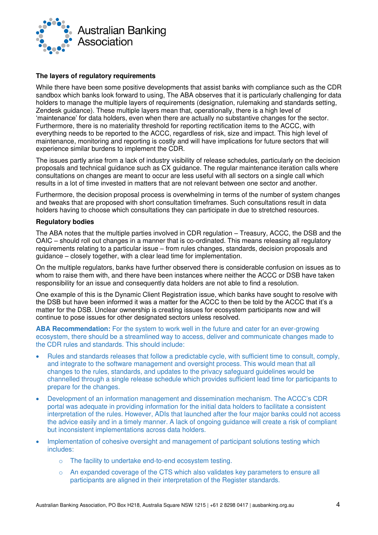

## **The layers of regulatory requirements**

While there have been some positive developments that assist banks with compliance such as the CDR sandbox which banks look forward to using, The ABA observes that it is particularly challenging for data holders to manage the multiple layers of requirements (designation, rulemaking and standards setting, Zendesk guidance). These multiple layers mean that, operationally, there is a high level of 'maintenance' for data holders, even when there are actually no substantive changes for the sector. Furthermore, there is no materiality threshold for reporting rectification items to the ACCC, with everything needs to be reported to the ACCC, regardless of risk, size and impact. This high level of maintenance, monitoring and reporting is costly and will have implications for future sectors that will experience similar burdens to implement the CDR.

The issues partly arise from a lack of industry visibility of release schedules, particularly on the decision proposals and technical guidance such as CX guidance. The regular maintenance iteration calls where consultations on changes are meant to occur are less useful with all sectors on a single call which results in a lot of time invested in matters that are not relevant between one sector and another.

Furthermore, the decision proposal process is overwhelming in terms of the number of system changes and tweaks that are proposed with short consultation timeframes. Such consultations result in data holders having to choose which consultations they can participate in due to stretched resources.

#### **Regulatory bodies**

The ABA notes that the multiple parties involved in CDR regulation – Treasury, ACCC, the DSB and the OAIC – should roll out changes in a manner that is co-ordinated. This means releasing all regulatory requirements relating to a particular issue – from rules changes, standards, decision proposals and guidance – closely together, with a clear lead time for implementation.

On the multiple regulators, banks have further observed there is considerable confusion on issues as to whom to raise them with, and there have been instances where neither the ACCC or DSB have taken responsibility for an issue and consequently data holders are not able to find a resolution.

One example of this is the Dynamic Client Registration issue, which banks have sought to resolve with the DSB but have been informed it was a matter for the ACCC to then be told by the ACCC that it's a matter for the DSB. Unclear ownership is creating issues for ecosystem participants now and will continue to pose issues for other designated sectors unless resolved.

**ABA Recommendation:** For the system to work well in the future and cater for an ever-growing ecosystem, there should be a streamlined way to access, deliver and communicate changes made to the CDR rules and standards. This should include:

- Rules and standards releases that follow a predictable cycle, with sufficient time to consult, comply, and integrate to the software management and oversight process. This would mean that all changes to the rules, standards, and updates to the privacy safeguard guidelines would be channelled through a single release schedule which provides sufficient lead time for participants to prepare for the changes.
- Development of an information management and dissemination mechanism. The ACCC's CDR portal was adequate in providing information for the initial data holders to facilitate a consistent interpretation of the rules. However, ADIs that launched after the four major banks could not access the advice easily and in a timely manner. A lack of ongoing guidance will create a risk of compliant but inconsistent implementations across data holders.
- Implementation of cohesive oversight and management of participant solutions testing which includes:
	- o The facility to undertake end-to-end ecosystem testing.
	- o An expanded coverage of the CTS which also validates key parameters to ensure all participants are aligned in their interpretation of the Register standards.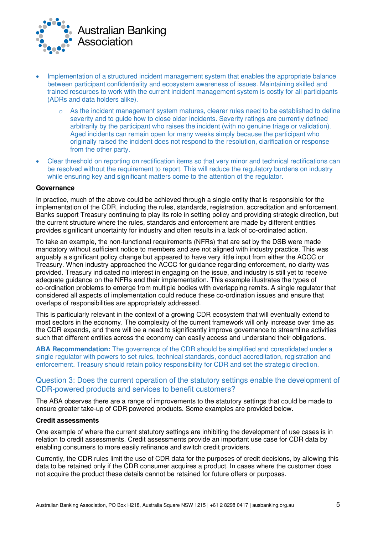

- Implementation of a structured incident management system that enables the appropriate balance between participant confidentiality and ecosystem awareness of issues. Maintaining skilled and trained resources to work with the current incident management system is costly for all participants (ADRs and data holders alike).
	- $\circ$  As the incident management system matures, clearer rules need to be established to define severity and to guide how to close older incidents. Severity ratings are currently defined arbitrarily by the participant who raises the incident (with no genuine triage or validation). Aged incidents can remain open for many weeks simply because the participant who originally raised the incident does not respond to the resolution, clarification or response from the other party.
- Clear threshold on reporting on rectification items so that very minor and technical rectifications can be resolved without the requirement to report. This will reduce the regulatory burdens on industry while ensuring key and significant matters come to the attention of the regulator.

#### **Governance**

In practice, much of the above could be achieved through a single entity that is responsible for the implementation of the CDR, including the rules, standards, registration, accreditation and enforcement. Banks support Treasury continuing to play its role in setting policy and providing strategic direction, but the current structure where the rules, standards and enforcement are made by different entities provides significant uncertainty for industry and often results in a lack of co-ordinated action.

To take an example, the non-functional requirements (NFRs) that are set by the DSB were made mandatory without sufficient notice to members and are not aligned with industry practice. This was arguably a significant policy change but appeared to have very little input from either the ACCC or Treasury. When industry approached the ACCC for guidance regarding enforcement, no clarity was provided. Treasury indicated no interest in engaging on the issue, and industry is still yet to receive adequate guidance on the NFRs and their implementation. This example illustrates the types of co-ordination problems to emerge from multiple bodies with overlapping remits. A single regulator that considered all aspects of implementation could reduce these co-ordination issues and ensure that overlaps of responsibilities are appropriately addressed.

This is particularly relevant in the context of a growing CDR ecosystem that will eventually extend to most sectors in the economy. The complexity of the current framework will only increase over time as the CDR expands, and there will be a need to significantly improve governance to streamline activities such that different entities across the economy can easily access and understand their obligations.

**ABA Recommendation:** The governance of the CDR should be simplified and consolidated under a single regulator with powers to set rules, technical standards, conduct accreditation, registration and enforcement. Treasury should retain policy responsibility for CDR and set the strategic direction.

## Question 3: Does the current operation of the statutory settings enable the development of CDR-powered products and services to benefit customers?

The ABA observes there are a range of improvements to the statutory settings that could be made to ensure greater take-up of CDR powered products. Some examples are provided below.

#### **Credit assessments**

One example of where the current statutory settings are inhibiting the development of use cases is in relation to credit assessments. Credit assessments provide an important use case for CDR data by enabling consumers to more easily refinance and switch credit providers.

Currently, the CDR rules limit the use of CDR data for the purposes of credit decisions, by allowing this data to be retained only if the CDR consumer acquires a product. In cases where the customer does not acquire the product these details cannot be retained for future offers or purposes.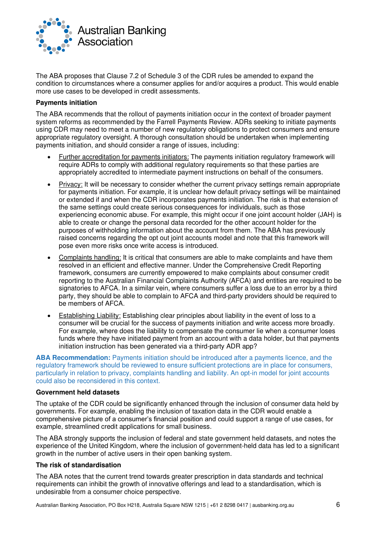

The ABA proposes that Clause 7.2 of Schedule 3 of the CDR rules be amended to expand the condition to circumstances where a consumer applies for and/or acquires a product. This would enable more use cases to be developed in credit assessments.

## **Payments initiation**

The ABA recommends that the rollout of payments initiation occur in the context of broader payment system reforms as recommended by the Farrell Payments Review. ADRs seeking to initiate payments using CDR may need to meet a number of new regulatory obligations to protect consumers and ensure appropriate regulatory oversight. A thorough consultation should be undertaken when implementing payments initiation, and should consider a range of issues, including:

- Further accreditation for payments initiators: The payments initiation regulatory framework will require ADRs to comply with additional regulatory requirements so that these parties are appropriately accredited to intermediate payment instructions on behalf of the consumers.
- Privacy: It will be necessary to consider whether the current privacy settings remain appropriate for payments initiation. For example, it is unclear how default privacy settings will be maintained or extended if and when the CDR incorporates payments initiation. The risk is that extension of the same settings could create serious consequences for individuals, such as those experiencing economic abuse. For example, this might occur if one joint account holder (JAH) is able to create or change the personal data recorded for the other account holder for the purposes of withholding information about the account from them. The ABA has previously raised concerns regarding the opt out joint accounts model and note that this framework will pose even more risks once write access is introduced.
- Complaints handling: It is critical that consumers are able to make complaints and have them resolved in an efficient and effective manner. Under the Comprehensive Credit Reporting framework, consumers are currently empowered to make complaints about consumer credit reporting to the Australian Financial Complaints Authority (AFCA) and entities are required to be signatories to AFCA. In a similar vein, where consumers suffer a loss due to an error by a third party, they should be able to complain to AFCA and third-party providers should be required to be members of AFCA.
- Establishing Liability: Establishing clear principles about liability in the event of loss to a consumer will be crucial for the success of payments initiation and write access more broadly. For example, where does the liability to compensate the consumer lie when a consumer loses funds where they have initiated payment from an account with a data holder, but that payments initiation instruction has been generated via a third-party ADR app?

**ABA Recommendation:** Payments initiation should be introduced after a payments licence, and the regulatory framework should be reviewed to ensure sufficient protections are in place for consumers, particularly in relation to privacy, complaints handling and liability. An opt-in model for joint accounts could also be reconsidered in this context.

## **Government held datasets**

The uptake of the CDR could be significantly enhanced through the inclusion of consumer data held by governments. For example, enabling the inclusion of taxation data in the CDR would enable a comprehensive picture of a consumer's financial position and could support a range of use cases, for example, streamlined credit applications for small business.

The ABA strongly supports the inclusion of federal and state government held datasets, and notes the experience of the United Kingdom, where the inclusion of government-held data has led to a significant growth in the number of active users in their open banking system.

#### **The risk of standardisation**

The ABA notes that the current trend towards greater prescription in data standards and technical requirements can inhibit the growth of innovative offerings and lead to a standardisation, which is undesirable from a consumer choice perspective.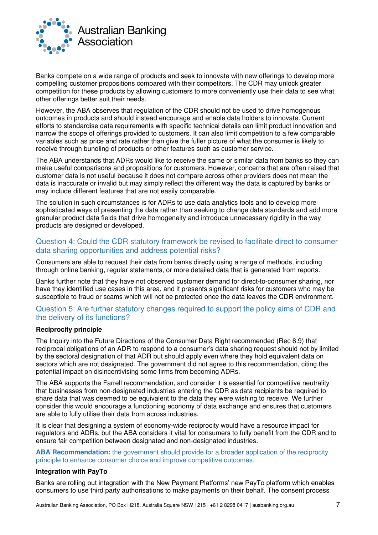

Banks compete on a wide range of products and seek to innovate with new offerings to develop more compelling customer propositions compared with their competitors. The CDR may unlock greater competition for these products by allowing customers to more conveniently use their data to see what other offerings better suit their needs.

However, the ABA observes that regulation of the CDR should not be used to drive homogenous outcomes in products and should instead encourage and enable data holders to innovate. Current efforts to standardise data requirements with specific technical details can limit product innovation and narrow the scope of offerings provided to customers. It can also limit competition to a few comparable variables such as price and rate rather than give the fuller picture of what the consumer is likely to receive through bundling of products or other features such as customer service.

The ABA understands that ADRs would like to receive the same or similar data from banks so they can make useful comparisons and propositions for customers. However, concerns that are often raised that customer data is not useful because it does not compare across other providers does not mean the data is inaccurate or invalid but may simply reflect the different way the data is captured by banks or may include different features that are not easily comparable.

The solution in such circumstances is for ADRs to use data analytics tools and to develop more sophisticated ways of presenting the data rather than seeking to change data standards and add more granular product data fields that drive homogeneity and introduce unnecessary rigidity in the way products are designed or developed.

## Question 4: Could the CDR statutory framework be revised to facilitate direct to consumer data sharing opportunities and address potential risks?

Consumers are able to request their data from banks directly using a range of methods, including through online banking, regular statements, or more detailed data that is generated from reports.

Banks further note that they have not observed customer demand for direct-to-consumer sharing, nor have they identified use cases in this area, and it presents significant risks for customers who may be susceptible to fraud or scams which will not be protected once the data leaves the CDR environment.

## Question 5: Are further statutory changes required to support the policy aims of CDR and the delivery of its functions?

#### **Reciprocity principle**

The Inquiry into the Future Directions of the Consumer Data Right recommended (Rec 6.9) that reciprocal obligations of an ADR to respond to a consumer's data sharing request should not by limited by the sectoral designation of that ADR but should apply even where they hold equivalent data on sectors which are not designated. The government did not agree to this recommendation, citing the potential impact on disincentivising some firms from becoming ADRs.

The ABA supports the Farrell recommendation, and consider it is essential for competitive neutrality that businesses from non-designated industries entering the CDR as data recipients be required to share data that was deemed to be equivalent to the data they were wishing to receive. We further consider this would encourage a functioning economy of data exchange and ensures that customers are able to fully utilise their data from across industries.

It is clear that designing a system of economy-wide reciprocity would have a resource impact for regulators and ADRs, but the ABA considers it vital for consumers to fully benefit from the CDR and to ensure fair competition between designated and non-designated industries.

**ABA Recommendation:** the government should provide for a broader application of the reciprocity principle to enhance consumer choice and improve competitive outcomes.

## **Integration with PayTo**

Banks are rolling out integration with the New Payment Platforms' new PayTo platform which enables consumers to use third party authorisations to make payments on their behalf. The consent process